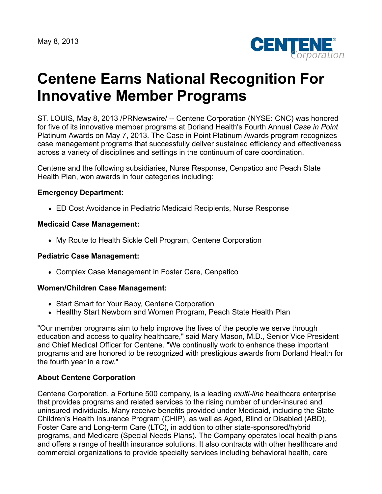May 8, 2013



# **Centene Earns National Recognition For Innovative Member Programs**

ST. LOUIS, May 8, 2013 /PRNewswire/ -- Centene Corporation (NYSE: CNC) was honored for five of its innovative member programs at Dorland Health's Fourth Annual *Case in Point* Platinum Awards on May 7, 2013. The Case in Point Platinum Awards program recognizes case management programs that successfully deliver sustained efficiency and effectiveness across a variety of disciplines and settings in the continuum of care coordination.

Centene and the following subsidiaries, Nurse Response, Cenpatico and Peach State Health Plan, won awards in four categories including:

## **Emergency Department:**

ED Cost Avoidance in Pediatric Medicaid Recipients, Nurse Response

### **Medicaid Case Management:**

My Route to Health Sickle Cell Program, Centene Corporation

#### **Pediatric Case Management:**

Complex Case Management in Foster Care, Cenpatico

#### **Women/Children Case Management:**

- Start Smart for Your Baby, Centene Corporation
- Healthy Start Newborn and Women Program, Peach State Health Plan

"Our member programs aim to help improve the lives of the people we serve through education and access to quality healthcare," said Mary Mason, M.D., Senior Vice President and Chief Medical Officer for Centene. "We continually work to enhance these important programs and are honored to be recognized with prestigious awards from Dorland Health for the fourth year in a row."

## **About Centene Corporation**

Centene Corporation, a Fortune 500 company, is a leading *multi-line* healthcare enterprise that provides programs and related services to the rising number of under-insured and uninsured individuals. Many receive benefits provided under Medicaid, including the State Children's Health Insurance Program (CHIP), as well as Aged, Blind or Disabled (ABD), Foster Care and Long-term Care (LTC), in addition to other state-sponsored/hybrid programs, and Medicare (Special Needs Plans). The Company operates local health plans and offers a range of health insurance solutions. It also contracts with other healthcare and commercial organizations to provide specialty services including behavioral health, care